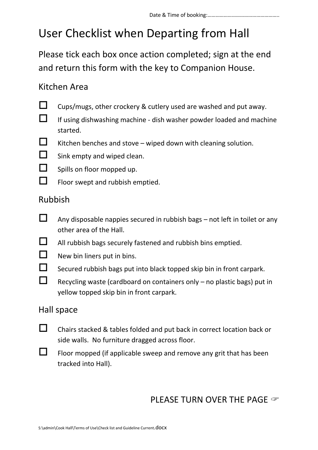# User Checklist when Departing from Hall

Please tick each box once action completed; sign at the end and return this form with the key to Companion House.

### Kitchen Area

- 
- $\Box$  Cups/mugs, other crockery & cutlery used are washed and put away.
- $\Box$  If using dishwashing machine dish washer powder loaded and machine started.
- $\Box$  Kitchen benches and stove wiped down with cleaning solution.
- $\Box$  Sink empty and wiped clean.
- $\Box$  Spills on floor mopped up.
- $\Box$  Floor swept and rubbish emptied.

#### Rubbish

- $\Box$  Any disposable nappies secured in rubbish bags not left in toilet or any other area of the Hall.
- $\Box$  All rubbish bags securely fastened and rubbish bins emptied.
- $\Box$  New bin liners put in bins.
- $\Box$  Secured rubbish bags put into black topped skip bin in front carpark.
- Recycling waste (cardboard on containers only  $-$  no plastic bags) put in yellow topped skip bin in front carpark.

#### Hall space

- $\Box$  Chairs stacked & tables folded and put back in correct location back or side walls. No furniture dragged across floor.
- $\Box$  Floor mopped (if applicable sweep and remove any grit that has been tracked into Hall).

### PLEASE TURN OVER THE PAGE  $\infty$